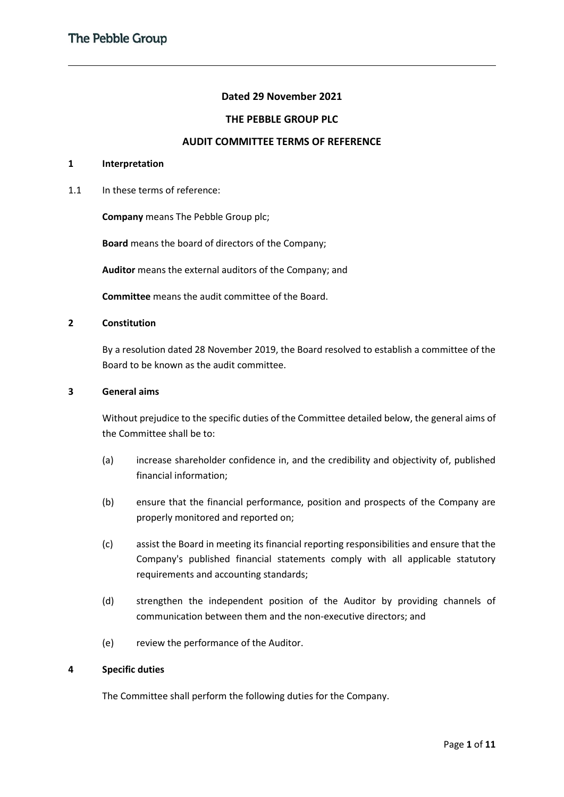# **Dated 29 November 2021**

# **THE PEBBLE GROUP PLC**

# **AUDIT COMMITTEE TERMS OF REFERENCE**

# **1 Interpretation**

1.1 In these terms of reference:

**Company** means The Pebble Group plc;

**Board** means the board of directors of the Company;

**Auditor** means the external auditors of the Company; and

**Committee** means the audit committee of the Board.

## **2 Constitution**

By a resolution dated 28 November 2019, the Board resolved to establish a committee of the Board to be known as the audit committee.

#### **3 General aims**

Without prejudice to the specific duties of the Committee detailed below, the general aims of the Committee shall be to:

- (a) increase shareholder confidence in, and the credibility and objectivity of, published financial information;
- (b) ensure that the financial performance, position and prospects of the Company are properly monitored and reported on;
- (c) assist the Board in meeting its financial reporting responsibilities and ensure that the Company's published financial statements comply with all applicable statutory requirements and accounting standards;
- (d) strengthen the independent position of the Auditor by providing channels of communication between them and the non-executive directors; and
- (e) review the performance of the Auditor.

# **4 Specific duties**

The Committee shall perform the following duties for the Company.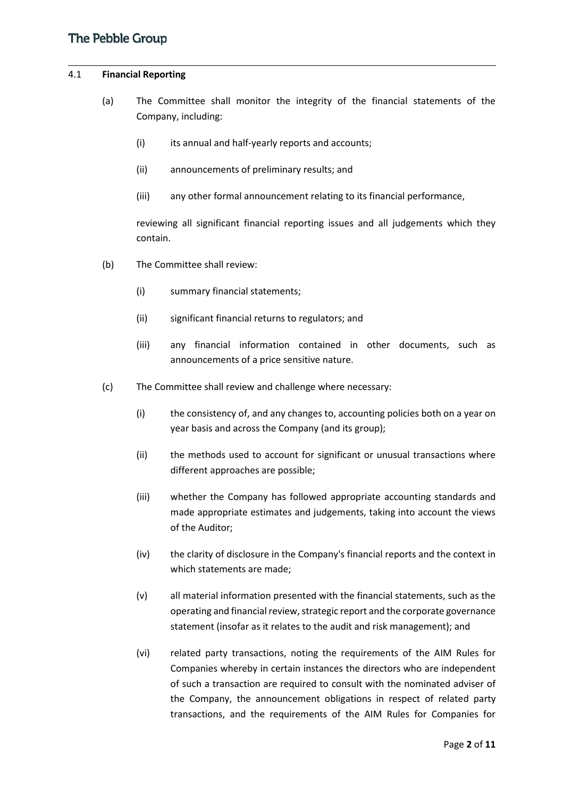# 4.1 **Financial Reporting**

- (a) The Committee shall monitor the integrity of the financial statements of the Company, including:
	- (i) its annual and half-yearly reports and accounts;
	- (ii) announcements of preliminary results; and
	- (iii) any other formal announcement relating to its financial performance,

reviewing all significant financial reporting issues and all judgements which they contain.

- (b) The Committee shall review:
	- (i) summary financial statements;
	- (ii) significant financial returns to regulators; and
	- (iii) any financial information contained in other documents, such as announcements of a price sensitive nature.
- (c) The Committee shall review and challenge where necessary:
	- (i) the consistency of, and any changes to, accounting policies both on a year on year basis and across the Company (and its group);
	- (ii) the methods used to account for significant or unusual transactions where different approaches are possible;
	- (iii) whether the Company has followed appropriate accounting standards and made appropriate estimates and judgements, taking into account the views of the Auditor;
	- (iv) the clarity of disclosure in the Company's financial reports and the context in which statements are made;
	- (v) all material information presented with the financial statements, such as the operating and financial review, strategic report and the corporate governance statement (insofar as it relates to the audit and risk management); and
	- (vi) related party transactions, noting the requirements of the AIM Rules for Companies whereby in certain instances the directors who are independent of such a transaction are required to consult with the nominated adviser of the Company, the announcement obligations in respect of related party transactions, and the requirements of the AIM Rules for Companies for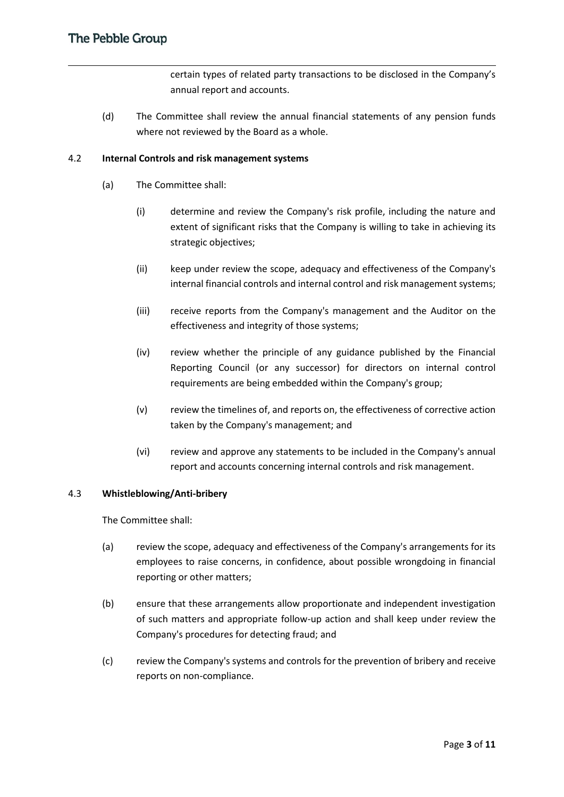certain types of related party transactions to be disclosed in the Company's annual report and accounts.

(d) The Committee shall review the annual financial statements of any pension funds where not reviewed by the Board as a whole.

# 4.2 **Internal Controls and risk management systems**

- (a) The Committee shall:
	- (i) determine and review the Company's risk profile, including the nature and extent of significant risks that the Company is willing to take in achieving its strategic objectives;
	- (ii) keep under review the scope, adequacy and effectiveness of the Company's internal financial controls and internal control and risk management systems;
	- (iii) receive reports from the Company's management and the Auditor on the effectiveness and integrity of those systems;
	- (iv) review whether the principle of any guidance published by the Financial Reporting Council (or any successor) for directors on internal control requirements are being embedded within the Company's group;
	- (v) review the timelines of, and reports on, the effectiveness of corrective action taken by the Company's management; and
	- (vi) review and approve any statements to be included in the Company's annual report and accounts concerning internal controls and risk management.

# 4.3 **Whistleblowing/Anti-bribery**

The Committee shall:

- (a) review the scope, adequacy and effectiveness of the Company's arrangements for its employees to raise concerns, in confidence, about possible wrongdoing in financial reporting or other matters;
- (b) ensure that these arrangements allow proportionate and independent investigation of such matters and appropriate follow-up action and shall keep under review the Company's procedures for detecting fraud; and
- (c) review the Company's systems and controls for the prevention of bribery and receive reports on non-compliance.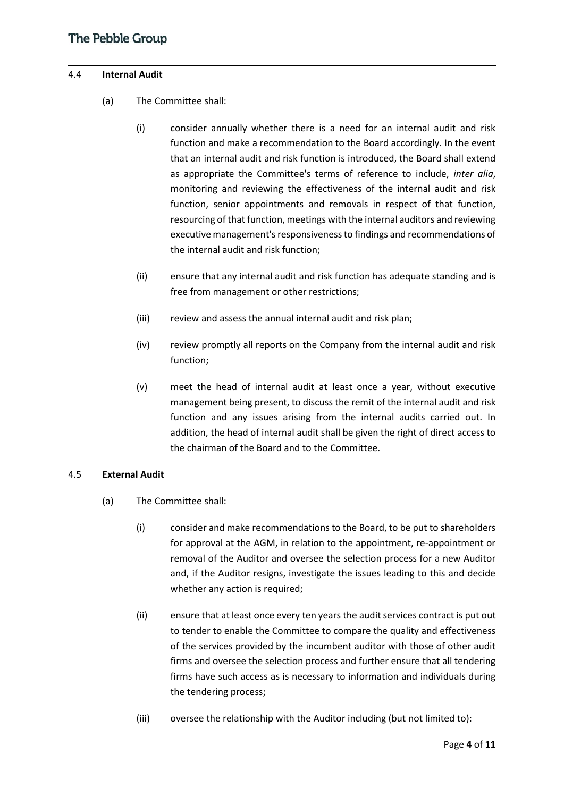## 4.4 **Internal Audit**

- (a) The Committee shall:
	- (i) consider annually whether there is a need for an internal audit and risk function and make a recommendation to the Board accordingly. In the event that an internal audit and risk function is introduced, the Board shall extend as appropriate the Committee's terms of reference to include, *inter alia*, monitoring and reviewing the effectiveness of the internal audit and risk function, senior appointments and removals in respect of that function, resourcing of that function, meetings with the internal auditors and reviewing executive management's responsiveness to findings and recommendations of the internal audit and risk function;
	- (ii) ensure that any internal audit and risk function has adequate standing and is free from management or other restrictions;
	- (iii) review and assess the annual internal audit and risk plan;
	- (iv) review promptly all reports on the Company from the internal audit and risk function;
	- (v) meet the head of internal audit at least once a year, without executive management being present, to discuss the remit of the internal audit and risk function and any issues arising from the internal audits carried out. In addition, the head of internal audit shall be given the right of direct access to the chairman of the Board and to the Committee.

# 4.5 **External Audit**

- (a) The Committee shall:
	- (i) consider and make recommendations to the Board, to be put to shareholders for approval at the AGM, in relation to the appointment, re-appointment or removal of the Auditor and oversee the selection process for a new Auditor and, if the Auditor resigns, investigate the issues leading to this and decide whether any action is required;
	- (ii) ensure that at least once every ten years the audit services contract is put out to tender to enable the Committee to compare the quality and effectiveness of the services provided by the incumbent auditor with those of other audit firms and oversee the selection process and further ensure that all tendering firms have such access as is necessary to information and individuals during the tendering process;
	- (iii) oversee the relationship with the Auditor including (but not limited to):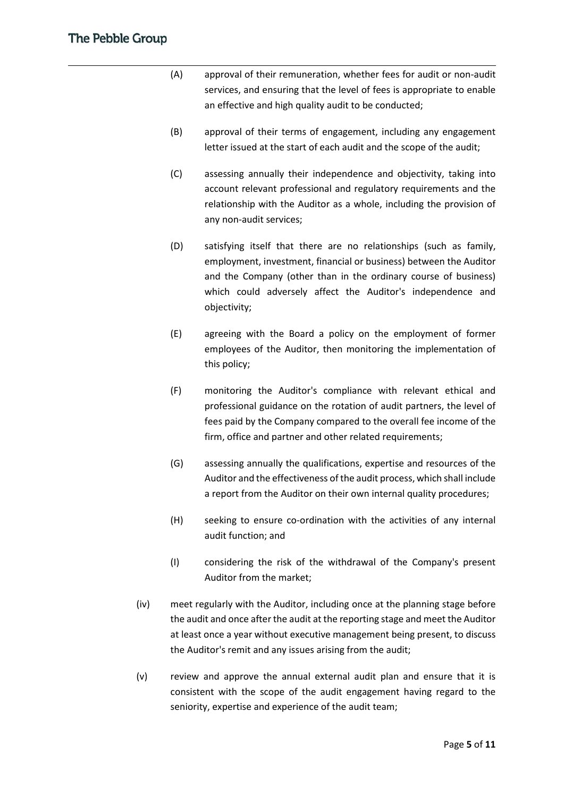- (A) approval of their remuneration, whether fees for audit or non-audit services, and ensuring that the level of fees is appropriate to enable an effective and high quality audit to be conducted;
- (B) approval of their terms of engagement, including any engagement letter issued at the start of each audit and the scope of the audit;
- (C) assessing annually their independence and objectivity, taking into account relevant professional and regulatory requirements and the relationship with the Auditor as a whole, including the provision of any non-audit services;
- (D) satisfying itself that there are no relationships (such as family, employment, investment, financial or business) between the Auditor and the Company (other than in the ordinary course of business) which could adversely affect the Auditor's independence and objectivity;
- (E) agreeing with the Board a policy on the employment of former employees of the Auditor, then monitoring the implementation of this policy;
- (F) monitoring the Auditor's compliance with relevant ethical and professional guidance on the rotation of audit partners, the level of fees paid by the Company compared to the overall fee income of the firm, office and partner and other related requirements;
- (G) assessing annually the qualifications, expertise and resources of the Auditor and the effectiveness of the audit process, which shall include a report from the Auditor on their own internal quality procedures;
- (H) seeking to ensure co-ordination with the activities of any internal audit function; and
- (I) considering the risk of the withdrawal of the Company's present Auditor from the market;
- (iv) meet regularly with the Auditor, including once at the planning stage before the audit and once after the audit at the reporting stage and meet the Auditor at least once a year without executive management being present, to discuss the Auditor's remit and any issues arising from the audit;
- (v) review and approve the annual external audit plan and ensure that it is consistent with the scope of the audit engagement having regard to the seniority, expertise and experience of the audit team;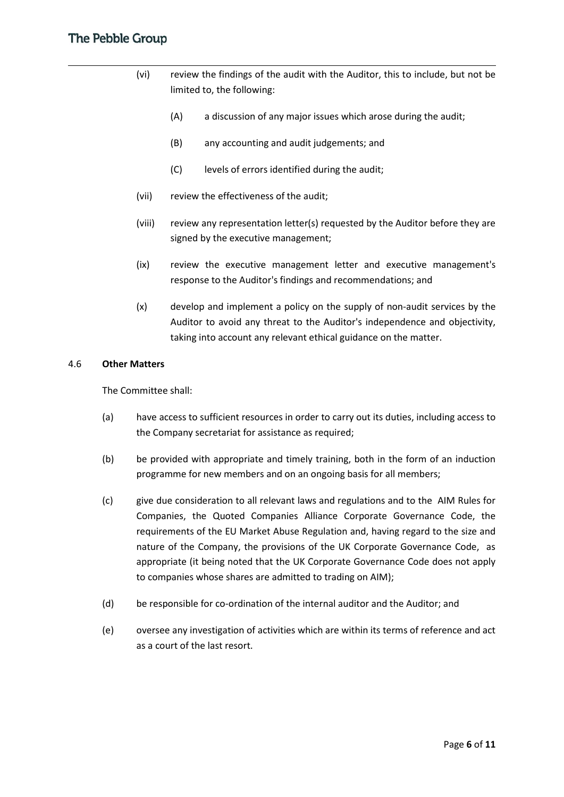- (vi) review the findings of the audit with the Auditor, this to include, but not be limited to, the following:
	- (A) a discussion of any major issues which arose during the audit;
	- (B) any accounting and audit judgements; and
	- (C) levels of errors identified during the audit;
- (vii) review the effectiveness of the audit;
- (viii) review any representation letter(s) requested by the Auditor before they are signed by the executive management;
- (ix) review the executive management letter and executive management's response to the Auditor's findings and recommendations; and
- (x) develop and implement a policy on the supply of non-audit services by the Auditor to avoid any threat to the Auditor's independence and objectivity, taking into account any relevant ethical guidance on the matter.

#### 4.6 **Other Matters**

The Committee shall:

- (a) have access to sufficient resources in order to carry out its duties, including access to the Company secretariat for assistance as required;
- (b) be provided with appropriate and timely training, both in the form of an induction programme for new members and on an ongoing basis for all members;
- (c) give due consideration to all relevant laws and regulations and to the AIM Rules for Companies, the Quoted Companies Alliance Corporate Governance Code, the requirements of the EU Market Abuse Regulation and, having regard to the size and nature of the Company, the provisions of the UK Corporate Governance Code, as appropriate (it being noted that the UK Corporate Governance Code does not apply to companies whose shares are admitted to trading on AIM);
- (d) be responsible for co-ordination of the internal auditor and the Auditor; and
- (e) oversee any investigation of activities which are within its terms of reference and act as a court of the last resort.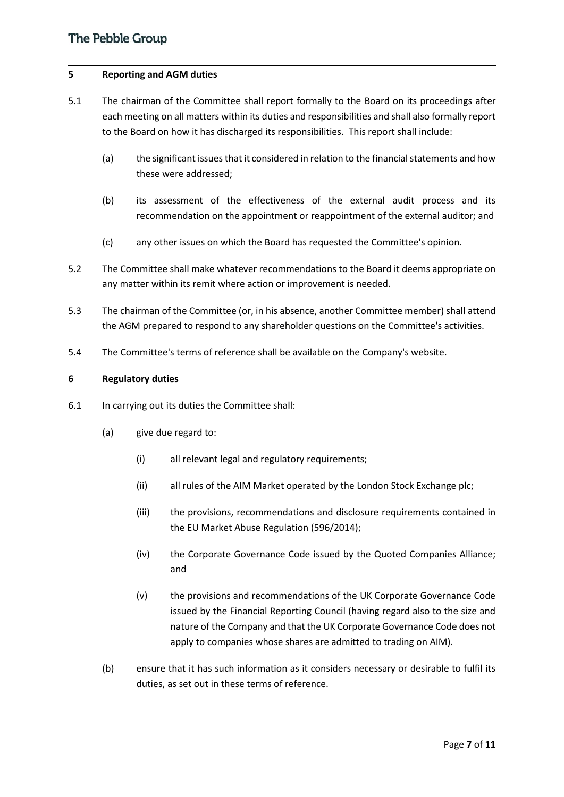#### **5 Reporting and AGM duties**

- 5.1 The chairman of the Committee shall report formally to the Board on its proceedings after each meeting on all matters within its duties and responsibilities and shall also formally report to the Board on how it has discharged its responsibilities. This report shall include:
	- (a) the significant issues that it considered in relation to the financial statements and how these were addressed;
	- (b) its assessment of the effectiveness of the external audit process and its recommendation on the appointment or reappointment of the external auditor; and
	- (c) any other issues on which the Board has requested the Committee's opinion.
- 5.2 The Committee shall make whatever recommendations to the Board it deems appropriate on any matter within its remit where action or improvement is needed.
- 5.3 The chairman of the Committee (or, in his absence, another Committee member) shall attend the AGM prepared to respond to any shareholder questions on the Committee's activities.
- 5.4 The Committee's terms of reference shall be available on the Company's website.

#### **6 Regulatory duties**

- 6.1 In carrying out its duties the Committee shall:
	- (a) give due regard to:
		- (i) all relevant legal and regulatory requirements;
		- (ii) all rules of the AIM Market operated by the London Stock Exchange plc;
		- (iii) the provisions, recommendations and disclosure requirements contained in the EU Market Abuse Regulation (596/2014);
		- (iv) the Corporate Governance Code issued by the Quoted Companies Alliance; and
		- (v) the provisions and recommendations of the UK Corporate Governance Code issued by the Financial Reporting Council (having regard also to the size and nature of the Company and that the UK Corporate Governance Code does not apply to companies whose shares are admitted to trading on AIM).
	- (b) ensure that it has such information as it considers necessary or desirable to fulfil its duties, as set out in these terms of reference.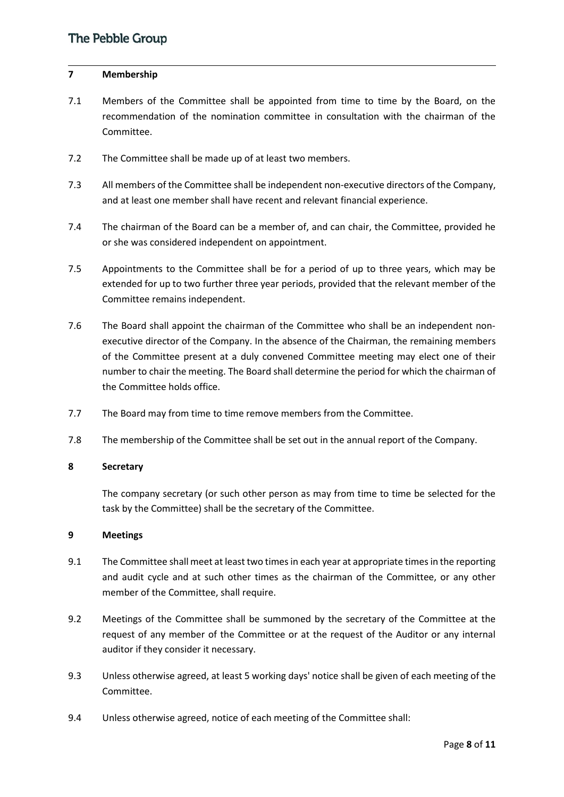# **7 Membership**

- 7.1 Members of the Committee shall be appointed from time to time by the Board, on the recommendation of the nomination committee in consultation with the chairman of the Committee.
- 7.2 The Committee shall be made up of at least two members.
- 7.3 All members of the Committee shall be independent non-executive directors of the Company, and at least one member shall have recent and relevant financial experience.
- 7.4 The chairman of the Board can be a member of, and can chair, the Committee, provided he or she was considered independent on appointment.
- 7.5 Appointments to the Committee shall be for a period of up to three years, which may be extended for up to two further three year periods, provided that the relevant member of the Committee remains independent.
- 7.6 The Board shall appoint the chairman of the Committee who shall be an independent nonexecutive director of the Company. In the absence of the Chairman, the remaining members of the Committee present at a duly convened Committee meeting may elect one of their number to chair the meeting. The Board shall determine the period for which the chairman of the Committee holds office.
- 7.7 The Board may from time to time remove members from the Committee.
- 7.8 The membership of the Committee shall be set out in the annual report of the Company.

# **8 Secretary**

The company secretary (or such other person as may from time to time be selected for the task by the Committee) shall be the secretary of the Committee.

# **9 Meetings**

- 9.1 The Committee shall meet at least two times in each year at appropriate times in the reporting and audit cycle and at such other times as the chairman of the Committee, or any other member of the Committee, shall require.
- 9.2 Meetings of the Committee shall be summoned by the secretary of the Committee at the request of any member of the Committee or at the request of the Auditor or any internal auditor if they consider it necessary.
- 9.3 Unless otherwise agreed, at least 5 working days' notice shall be given of each meeting of the Committee.
- 9.4 Unless otherwise agreed, notice of each meeting of the Committee shall: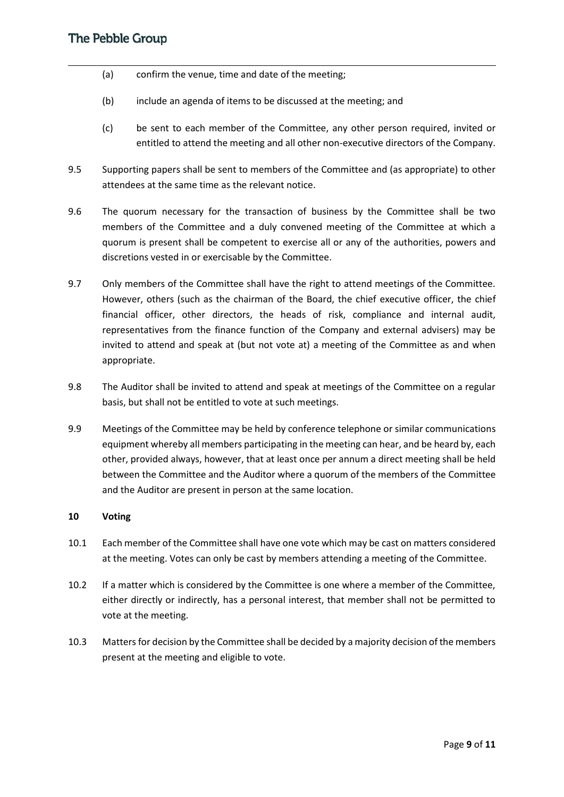- (a) confirm the venue, time and date of the meeting;
- (b) include an agenda of items to be discussed at the meeting; and
- (c) be sent to each member of the Committee, any other person required, invited or entitled to attend the meeting and all other non-executive directors of the Company.
- 9.5 Supporting papers shall be sent to members of the Committee and (as appropriate) to other attendees at the same time as the relevant notice.
- 9.6 The quorum necessary for the transaction of business by the Committee shall be two members of the Committee and a duly convened meeting of the Committee at which a quorum is present shall be competent to exercise all or any of the authorities, powers and discretions vested in or exercisable by the Committee.
- 9.7 Only members of the Committee shall have the right to attend meetings of the Committee. However, others (such as the chairman of the Board, the chief executive officer, the chief financial officer, other directors, the heads of risk, compliance and internal audit, representatives from the finance function of the Company and external advisers) may be invited to attend and speak at (but not vote at) a meeting of the Committee as and when appropriate.
- 9.8 The Auditor shall be invited to attend and speak at meetings of the Committee on a regular basis, but shall not be entitled to vote at such meetings.
- 9.9 Meetings of the Committee may be held by conference telephone or similar communications equipment whereby all members participating in the meeting can hear, and be heard by, each other, provided always, however, that at least once per annum a direct meeting shall be held between the Committee and the Auditor where a quorum of the members of the Committee and the Auditor are present in person at the same location.

# **10 Voting**

- 10.1 Each member of the Committee shall have one vote which may be cast on matters considered at the meeting. Votes can only be cast by members attending a meeting of the Committee.
- 10.2 If a matter which is considered by the Committee is one where a member of the Committee, either directly or indirectly, has a personal interest, that member shall not be permitted to vote at the meeting.
- 10.3 Matters for decision by the Committee shall be decided by a majority decision of the members present at the meeting and eligible to vote.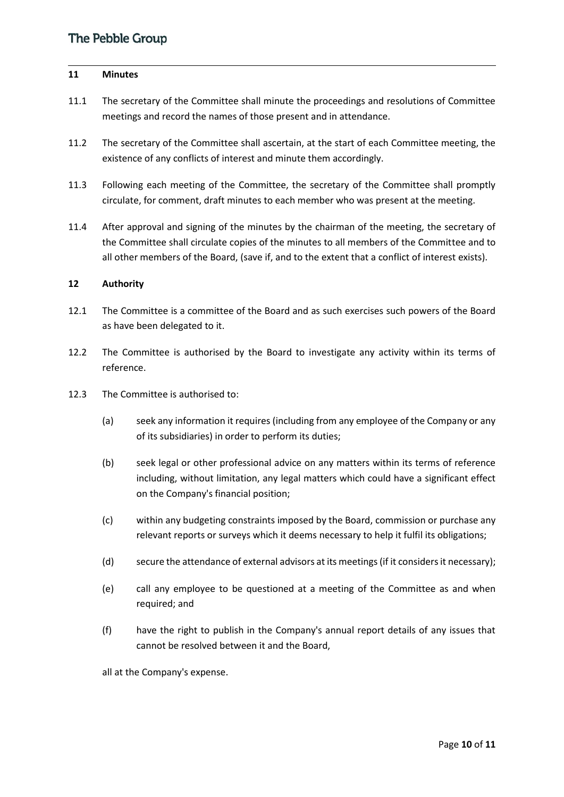#### **11 Minutes**

- 11.1 The secretary of the Committee shall minute the proceedings and resolutions of Committee meetings and record the names of those present and in attendance.
- 11.2 The secretary of the Committee shall ascertain, at the start of each Committee meeting, the existence of any conflicts of interest and minute them accordingly.
- 11.3 Following each meeting of the Committee, the secretary of the Committee shall promptly circulate, for comment, draft minutes to each member who was present at the meeting.
- 11.4 After approval and signing of the minutes by the chairman of the meeting, the secretary of the Committee shall circulate copies of the minutes to all members of the Committee and to all other members of the Board, (save if, and to the extent that a conflict of interest exists).

# **12 Authority**

- 12.1 The Committee is a committee of the Board and as such exercises such powers of the Board as have been delegated to it.
- 12.2 The Committee is authorised by the Board to investigate any activity within its terms of reference.
- 12.3 The Committee is authorised to:
	- (a) seek any information it requires (including from any employee of the Company or any of its subsidiaries) in order to perform its duties;
	- (b) seek legal or other professional advice on any matters within its terms of reference including, without limitation, any legal matters which could have a significant effect on the Company's financial position;
	- (c) within any budgeting constraints imposed by the Board, commission or purchase any relevant reports or surveys which it deems necessary to help it fulfil its obligations;
	- (d) secure the attendance of external advisors at its meetings (if it considers it necessary);
	- (e) call any employee to be questioned at a meeting of the Committee as and when required; and
	- (f) have the right to publish in the Company's annual report details of any issues that cannot be resolved between it and the Board,

all at the Company's expense.